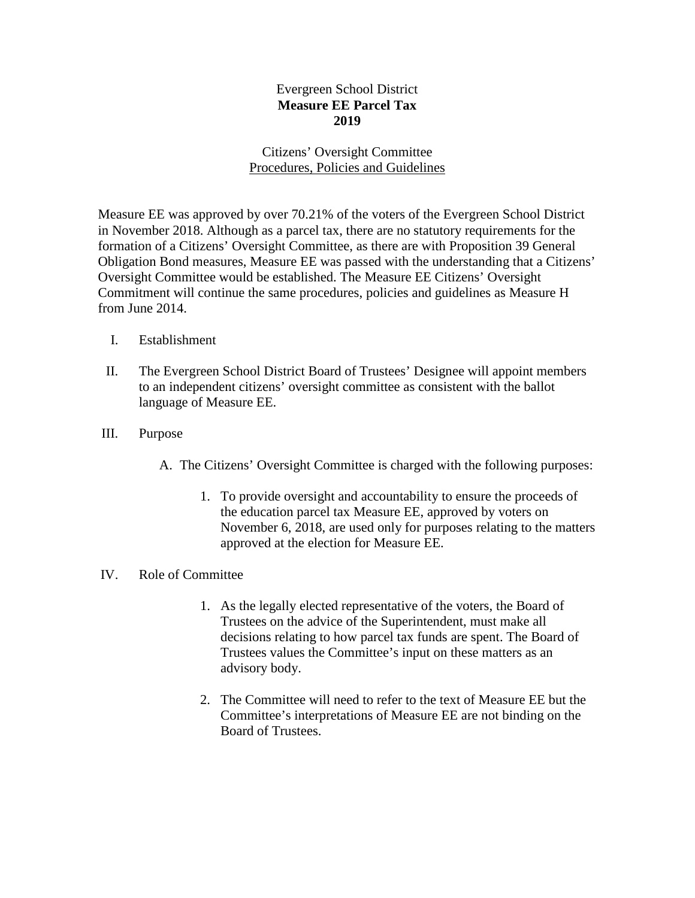# Evergreen School District **Measure EE Parcel Tax 2019**

# Citizens' Oversight Committee Procedures, Policies and Guidelines

Measure EE was approved by over 70.21% of the voters of the Evergreen School District in November 2018. Although as a parcel tax, there are no statutory requirements for the formation of a Citizens' Oversight Committee, as there are with Proposition 39 General Obligation Bond measures, Measure EE was passed with the understanding that a Citizens' Oversight Committee would be established. The Measure EE Citizens' Oversight Commitment will continue the same procedures, policies and guidelines as Measure H from June 2014.

- I. Establishment
- II. The Evergreen School District Board of Trustees' Designee will appoint members to an independent citizens' oversight committee as consistent with the ballot language of Measure EE.
- III. Purpose
	- A. The Citizens' Oversight Committee is charged with the following purposes:
		- 1. To provide oversight and accountability to ensure the proceeds of the education parcel tax Measure EE, approved by voters on November 6, 2018, are used only for purposes relating to the matters approved at the election for Measure EE.

## IV. Role of Committee

- 1. As the legally elected representative of the voters, the Board of Trustees on the advice of the Superintendent, must make all decisions relating to how parcel tax funds are spent. The Board of Trustees values the Committee's input on these matters as an advisory body.
- 2. The Committee will need to refer to the text of Measure EE but the Committee's interpretations of Measure EE are not binding on the Board of Trustees.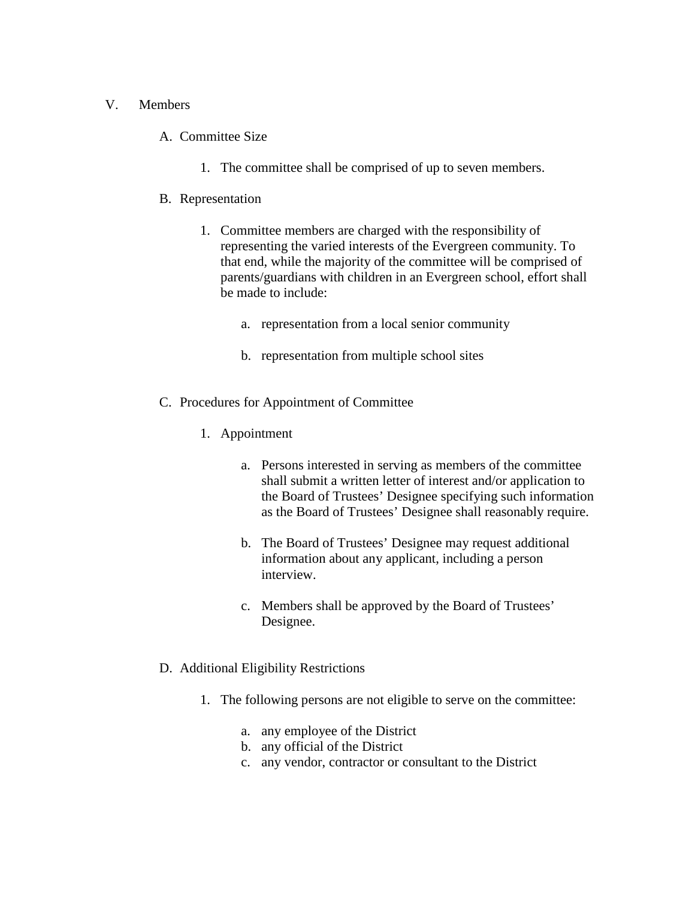### V. Members

### A. Committee Size

1. The committee shall be comprised of up to seven members.

### B. Representation

- 1. Committee members are charged with the responsibility of representing the varied interests of the Evergreen community. To that end, while the majority of the committee will be comprised of parents/guardians with children in an Evergreen school, effort shall be made to include:
	- a. representation from a local senior community
	- b. representation from multiple school sites
- C. Procedures for Appointment of Committee
	- 1. Appointment
		- a. Persons interested in serving as members of the committee shall submit a written letter of interest and/or application to the Board of Trustees' Designee specifying such information as the Board of Trustees' Designee shall reasonably require.
		- b. The Board of Trustees' Designee may request additional information about any applicant, including a person interview.
		- c. Members shall be approved by the Board of Trustees' Designee.

#### D. Additional Eligibility Restrictions

- 1. The following persons are not eligible to serve on the committee:
	- a. any employee of the District
	- b. any official of the District
	- c. any vendor, contractor or consultant to the District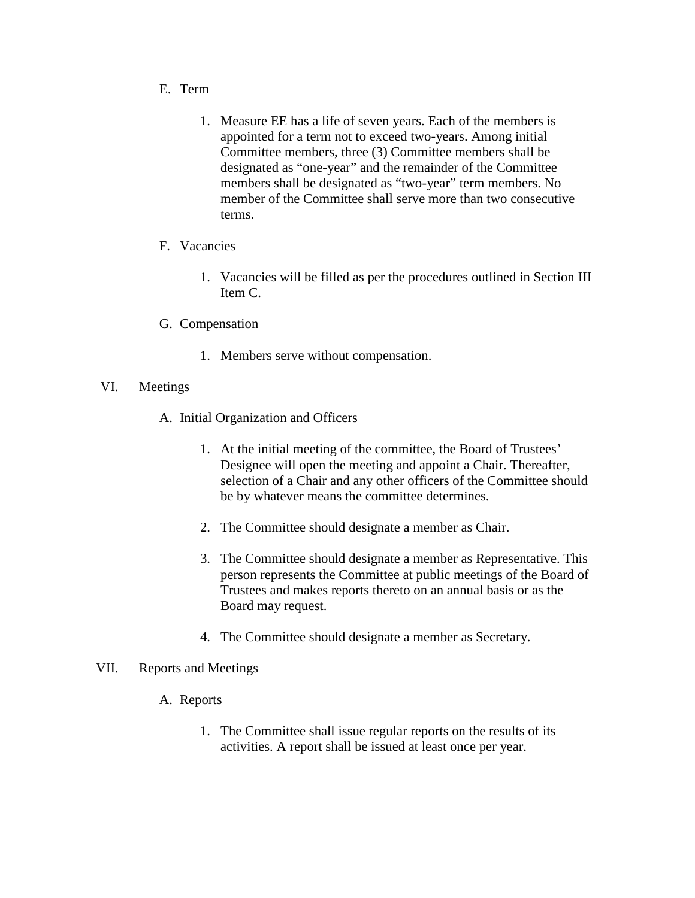- E. Term
	- 1. Measure EE has a life of seven years. Each of the members is appointed for a term not to exceed two-years. Among initial Committee members, three (3) Committee members shall be designated as "one-year" and the remainder of the Committee members shall be designated as "two-year" term members. No member of the Committee shall serve more than two consecutive terms.
- F. Vacancies
	- 1. Vacancies will be filled as per the procedures outlined in Section III Item C.
- G. Compensation
	- 1. Members serve without compensation.
- VI. Meetings
	- A. Initial Organization and Officers
		- 1. At the initial meeting of the committee, the Board of Trustees' Designee will open the meeting and appoint a Chair. Thereafter, selection of a Chair and any other officers of the Committee should be by whatever means the committee determines.
		- 2. The Committee should designate a member as Chair.
		- 3. The Committee should designate a member as Representative. This person represents the Committee at public meetings of the Board of Trustees and makes reports thereto on an annual basis or as the Board may request.
		- 4. The Committee should designate a member as Secretary.

#### VII. Reports and Meetings

- A. Reports
	- 1. The Committee shall issue regular reports on the results of its activities. A report shall be issued at least once per year.